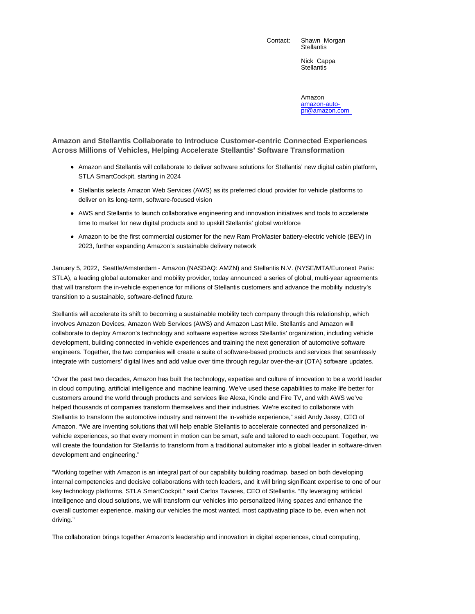Contact: Shawn Morgan

**Stellantis** 

Nick Cappa **Stellantis** 

Amazon amazon-autopr@amazon.com

**Amazon and Stellantis Collaborate to Introduce Customer-centric Connected Experiences Across Millions of Vehicles, Helping Accelerate Stellantis' Software Transformation**

- Amazon and Stellantis will collaborate to deliver software solutions for Stellantis' new digital cabin platform, STLA SmartCockpit, starting in 2024
- Stellantis selects Amazon Web Services (AWS) as its preferred cloud provider for vehicle platforms to deliver on its long-term, software-focused vision
- AWS and Stellantis to launch collaborative engineering and innovation initiatives and tools to accelerate time to market for new digital products and to upskill Stellantis' global workforce
- Amazon to be the first commercial customer for the new Ram ProMaster battery-electric vehicle (BEV) in 2023, further expanding Amazon's sustainable delivery network

January 5, 2022, Seattle/Amsterdam - Amazon (NASDAQ: AMZN) and Stellantis N.V. (NYSE/MTA/Euronext Paris: STLA), a leading global automaker and mobility provider, today announced a series of global, multi-year agreements that will transform the in-vehicle experience for millions of Stellantis customers and advance the mobility industry's transition to a sustainable, software-defined future.

Stellantis will accelerate its shift to becoming a sustainable mobility tech company through this relationship, which involves Amazon Devices, Amazon Web Services (AWS) and Amazon Last Mile. Stellantis and Amazon will collaborate to deploy Amazon's technology and software expertise across Stellantis' organization, including vehicle development, building connected in-vehicle experiences and training the next generation of automotive software engineers. Together, the two companies will create a suite of software-based products and services that seamlessly integrate with customers' digital lives and add value over time through regular over-the-air (OTA) software updates.

"Over the past two decades, Amazon has built the technology, expertise and culture of innovation to be a world leader in cloud computing, artificial intelligence and machine learning. We've used these capabilities to make life better for customers around the world through products and services like Alexa, Kindle and Fire TV, and with AWS we've helped thousands of companies transform themselves and their industries. We're excited to collaborate with Stellantis to transform the automotive industry and reinvent the in-vehicle experience," said Andy Jassy, CEO of Amazon. "We are inventing solutions that will help enable Stellantis to accelerate connected and personalized invehicle experiences, so that every moment in motion can be smart, safe and tailored to each occupant. Together, we will create the foundation for Stellantis to transform from a traditional automaker into a global leader in software-driven development and engineering."

"Working together with Amazon is an integral part of our capability building roadmap, based on both developing internal competencies and decisive collaborations with tech leaders, and it will bring significant expertise to one of our key technology platforms, STLA SmartCockpit," said Carlos Tavares, CEO of Stellantis. "By leveraging artificial intelligence and cloud solutions, we will transform our vehicles into personalized living spaces and enhance the overall customer experience, making our vehicles the most wanted, most captivating place to be, even when not driving."

The collaboration brings together Amazon's leadership and innovation in digital experiences, cloud computing,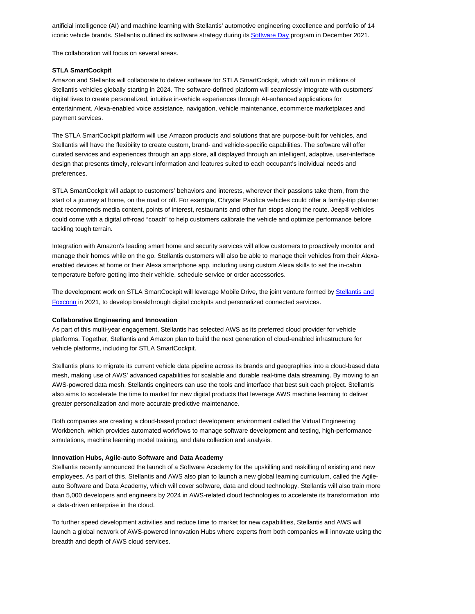artificial intelligence (AI) and machine learning with Stellantis' automotive engineering excellence and portfolio of 14 iconic vehicle brands. Stellantis outlined its software strategy during its Software Day program in December 2021.

The collaboration will focus on several areas.

## **STLA SmartCockpit**

Amazon and Stellantis will collaborate to deliver software for STLA SmartCockpit, which will run in millions of Stellantis vehicles globally starting in 2024. The software-defined platform will seamlessly integrate with customers' digital lives to create personalized, intuitive in-vehicle experiences through AI-enhanced applications for entertainment, Alexa-enabled voice assistance, navigation, vehicle maintenance, ecommerce marketplaces and payment services.

The STLA SmartCockpit platform will use Amazon products and solutions that are purpose-built for vehicles, and Stellantis will have the flexibility to create custom, brand- and vehicle-specific capabilities. The software will offer curated services and experiences through an app store, all displayed through an intelligent, adaptive, user-interface design that presents timely, relevant information and features suited to each occupant's individual needs and preferences.

STLA SmartCockpit will adapt to customers' behaviors and interests, wherever their passions take them, from the start of a journey at home, on the road or off. For example, Chrysler Pacifica vehicles could offer a family-trip planner that recommends media content, points of interest, restaurants and other fun stops along the route. Jeep® vehicles could come with a digital off-road "coach" to help customers calibrate the vehicle and optimize performance before tackling tough terrain.

Integration with Amazon's leading smart home and security services will allow customers to proactively monitor and manage their homes while on the go. Stellantis customers will also be able to manage their vehicles from their Alexaenabled devices at home or their Alexa smartphone app, including using custom Alexa skills to set the in-cabin temperature before getting into their vehicle, schedule service or order accessories.

The development work on STLA SmartCockpit will leverage Mobile Drive, the joint venture formed by Stellantis and Foxconn in 2021, to develop breakthrough digital cockpits and personalized connected services.

## **Collaborative Engineering and Innovation**

As part of this multi-year engagement, Stellantis has selected AWS as its preferred cloud provider for vehicle platforms. Together, Stellantis and Amazon plan to build the next generation of cloud-enabled infrastructure for vehicle platforms, including for STLA SmartCockpit.

Stellantis plans to migrate its current vehicle data pipeline across its brands and geographies into a cloud-based data mesh, making use of AWS' advanced capabilities for scalable and durable real-time data streaming. By moving to an AWS-powered data mesh, Stellantis engineers can use the tools and interface that best suit each project. Stellantis also aims to accelerate the time to market for new digital products that leverage AWS machine learning to deliver greater personalization and more accurate predictive maintenance.

Both companies are creating a cloud-based product development environment called the Virtual Engineering Workbench, which provides automated workflows to manage software development and testing, high-performance simulations, machine learning model training, and data collection and analysis.

### **Innovation Hubs, Agile-auto Software and Data Academy**

Stellantis recently announced the launch of a Software Academy for the upskilling and reskilling of existing and new employees. As part of this, Stellantis and AWS also plan to launch a new global learning curriculum, called the Agileauto Software and Data Academy, which will cover software, data and cloud technology. Stellantis will also train more than 5,000 developers and engineers by 2024 in AWS-related cloud technologies to accelerate its transformation into a data-driven enterprise in the cloud.

To further speed development activities and reduce time to market for new capabilities, Stellantis and AWS will launch a global network of AWS-powered Innovation Hubs where experts from both companies will innovate using the breadth and depth of AWS cloud services.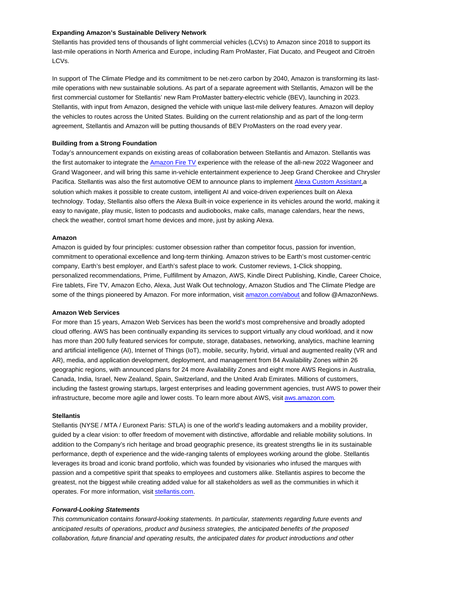## **Expanding Amazon's Sustainable Delivery Network**

Stellantis has provided tens of thousands of light commercial vehicles (LCVs) to Amazon since 2018 to support its last-mile operations in North America and Europe, including Ram ProMaster, Fiat Ducato, and Peugeot and Citroën LCVs.

In support of The Climate Pledge and its commitment to be net-zero carbon by 2040, Amazon is transforming its lastmile operations with new sustainable solutions. As part of a separate agreement with Stellantis, Amazon will be the first commercial customer for Stellantis' new Ram ProMaster battery-electric vehicle (BEV), launching in 2023. Stellantis, with input from Amazon, designed the vehicle with unique last-mile delivery features. Amazon will deploy the vehicles to routes across the United States. Building on the current relationship and as part of the long-term agreement, Stellantis and Amazon will be putting thousands of BEV ProMasters on the road every year.

## **Building from a Strong Foundation**

Today's announcement expands on existing areas of collaboration between Stellantis and Amazon. Stellantis was the first automaker to integrate the Amazon Fire TV experience with the release of the all-new 2022 Wagoneer and Grand Wagoneer, and will bring this same in-vehicle entertainment experience to Jeep Grand Cherokee and Chrysler Pacifica. Stellantis was also the first automotive OEM to announce plans to implement Alexa Custom Assistant,a solution which makes it possible to create custom, intelligent AI and voice-driven experiences built on Alexa technology. Today, Stellantis also offers the Alexa Built-in voice experience in its vehicles around the world, making it easy to navigate, play music, listen to podcasts and audiobooks, make calls, manage calendars, hear the news, check the weather, control smart home devices and more, just by asking Alexa.

# **Amazon**

Amazon is guided by four principles: customer obsession rather than competitor focus, passion for invention, commitment to operational excellence and long-term thinking. Amazon strives to be Earth's most customer-centric company, Earth's best employer, and Earth's safest place to work. Customer reviews, 1-Click shopping, personalized recommendations, Prime, Fulfillment by Amazon, AWS, Kindle Direct Publishing, Kindle, Career Choice, Fire tablets, Fire TV, Amazon Echo, Alexa, Just Walk Out technology, Amazon Studios and The Climate Pledge are some of the things pioneered by Amazon. For more information, visit amazon.com/about and follow @AmazonNews.

#### **Amazon Web Services**

For more than 15 years, Amazon Web Services has been the world's most comprehensive and broadly adopted cloud offering. AWS has been continually expanding its services to support virtually any cloud workload, and it now has more than 200 fully featured services for compute, storage, databases, networking, analytics, machine learning and artificial intelligence (AI), Internet of Things (IoT), mobile, security, hybrid, virtual and augmented reality (VR and AR), media, and application development, deployment, and management from 84 Availability Zones within 26 geographic regions, with announced plans for 24 more Availability Zones and eight more AWS Regions in Australia, Canada, India, Israel, New Zealand, Spain, Switzerland, and the United Arab Emirates. Millions of customers, including the fastest growing startups, largest enterprises and leading government agencies, trust AWS to power their infrastructure, become more agile and lower costs. To learn more about AWS, visit aws.amazon.com.

#### **Stellantis**

Stellantis (NYSE / MTA / Euronext Paris: STLA) is one of the world's leading automakers and a mobility provider, guided by a clear vision: to offer freedom of movement with distinctive, affordable and reliable mobility solutions. In addition to the Company's rich heritage and broad geographic presence, its greatest strengths lie in its sustainable performance, depth of experience and the wide-ranging talents of employees working around the globe. Stellantis leverages its broad and iconic brand portfolio, which was founded by visionaries who infused the marques with passion and a competitive spirit that speaks to employees and customers alike. Stellantis aspires to become the greatest, not the biggest while creating added value for all stakeholders as well as the communities in which it operates. For more information, visit stellantis.com.

## **Forward-Looking Statements**

This communication contains forward-looking statements. In particular, statements regarding future events and anticipated results of operations, product and business strategies, the anticipated benefits of the proposed collaboration, future financial and operating results, the anticipated dates for product introductions and other